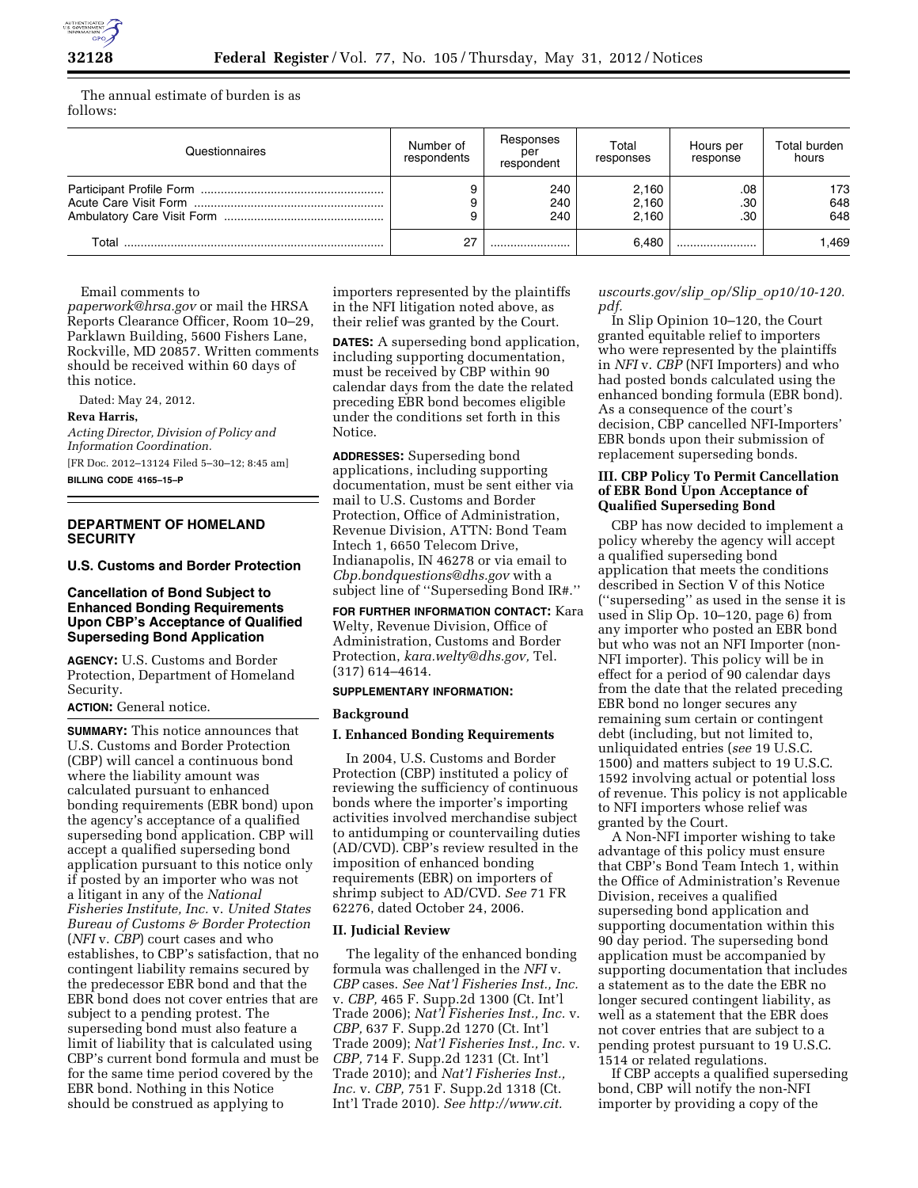

The annual estimate of burden is as follows:

| Questionnaires | Number of<br>respondents | Responses<br>per<br>respondent | Total<br>responses      | Hours per<br>response | Total burden<br>hours |
|----------------|--------------------------|--------------------------------|-------------------------|-----------------------|-----------------------|
|                |                          | 240<br>240<br>240              | 2.160<br>2.160<br>2.160 | .08<br>.30<br>.30     | 173<br>648<br>648     |
| Total          | 27                       |                                | 6.480                   |                       | .469                  |

Email comments to

*[paperwork@hrsa.gov](mailto:paperwork@hrsa.gov)* or mail the HRSA Reports Clearance Officer, Room 10–29, Parklawn Building, 5600 Fishers Lane, Rockville, MD 20857. Written comments should be received within 60 days of this notice.

Dated: May 24, 2012.

#### **Reva Harris,**

*Acting Director, Division of Policy and Information Coordination.* 

[FR Doc. 2012–13124 Filed 5–30–12; 8:45 am] **BILLING CODE 4165–15–P** 

## **DEPARTMENT OF HOMELAND SECURITY**

**U.S. Customs and Border Protection** 

## **Cancellation of Bond Subject to Enhanced Bonding Requirements Upon CBP's Acceptance of Qualified Superseding Bond Application**

**AGENCY:** U.S. Customs and Border Protection, Department of Homeland Security.

# **ACTION:** General notice.

**SUMMARY:** This notice announces that U.S. Customs and Border Protection (CBP) will cancel a continuous bond where the liability amount was calculated pursuant to enhanced bonding requirements (EBR bond) upon the agency's acceptance of a qualified superseding bond application. CBP will accept a qualified superseding bond application pursuant to this notice only if posted by an importer who was not a litigant in any of the *National Fisheries Institute, Inc.* v. *United States Bureau of Customs & Border Protection*  (*NFI* v. *CBP*) court cases and who establishes, to CBP's satisfaction, that no contingent liability remains secured by the predecessor EBR bond and that the EBR bond does not cover entries that are subject to a pending protest. The superseding bond must also feature a limit of liability that is calculated using CBP's current bond formula and must be for the same time period covered by the EBR bond. Nothing in this Notice should be construed as applying to

importers represented by the plaintiffs in the NFI litigation noted above, as their relief was granted by the Court.

**DATES:** A superseding bond application, including supporting documentation, must be received by CBP within 90 calendar days from the date the related preceding EBR bond becomes eligible under the conditions set forth in this Notice.

**ADDRESSES:** Superseding bond applications, including supporting documentation, must be sent either via mail to U.S. Customs and Border Protection, Office of Administration, Revenue Division, ATTN: Bond Team Intech 1, 6650 Telecom Drive, Indianapolis, IN 46278 or via email to *[Cbp.bondquestions@dhs.gov](mailto:Cbp.bondquestions@dhs.gov)* with a subject line of ''Superseding Bond IR#.''

**FOR FURTHER INFORMATION CONTACT:** Kara Welty, Revenue Division, Office of Administration, Customs and Border Protection, *[kara.welty@dhs.gov,](mailto:kara.welty@dhs.gov)* Tel. (317) 614–4614.

#### **SUPPLEMENTARY INFORMATION:**

#### **Background**

## **I. Enhanced Bonding Requirements**

In 2004, U.S. Customs and Border Protection (CBP) instituted a policy of reviewing the sufficiency of continuous bonds where the importer's importing activities involved merchandise subject to antidumping or countervailing duties (AD/CVD). CBP's review resulted in the imposition of enhanced bonding requirements (EBR) on importers of shrimp subject to AD/CVD. *See* 71 FR 62276, dated October 24, 2006.

#### **II. Judicial Review**

The legality of the enhanced bonding formula was challenged in the *NFI* v. *CBP* cases. *See Nat'l Fisheries Inst., Inc.*  v. *CBP,* 465 F. Supp.2d 1300 (Ct. Int'l Trade 2006); *Nat'l Fisheries Inst., Inc.* v. *CBP,* 637 F. Supp.2d 1270 (Ct. Int'l Trade 2009); *Nat'l Fisheries Inst., Inc.* v. *CBP,* 714 F. Supp.2d 1231 (Ct. Int'l Trade 2010); and *Nat'l Fisheries Inst., Inc.* v. *CBP,* 751 F. Supp.2d 1318 (Ct. Int'l Trade 2010). *See [http://www.cit.](http://www.cit.uscourts.gov/slip_op/Slip_op10/10-120.pdf)*

*[uscourts.gov/slip](http://www.cit.uscourts.gov/slip_op/Slip_op10/10-120.pdf)*\_*op/Slip*\_*op10/10-120. [pdf.](http://www.cit.uscourts.gov/slip_op/Slip_op10/10-120.pdf)* 

In Slip Opinion 10–120, the Court granted equitable relief to importers who were represented by the plaintiffs in *NFI* v. *CBP* (NFI Importers) and who had posted bonds calculated using the enhanced bonding formula (EBR bond). As a consequence of the court's decision, CBP cancelled NFI-Importers' EBR bonds upon their submission of replacement superseding bonds.

## **III. CBP Policy To Permit Cancellation of EBR Bond Upon Acceptance of Qualified Superseding Bond**

CBP has now decided to implement a policy whereby the agency will accept a qualified superseding bond application that meets the conditions described in Section V of this Notice (''superseding'' as used in the sense it is used in Slip Op. 10–120, page 6) from any importer who posted an EBR bond but who was not an NFI Importer (non-NFI importer). This policy will be in effect for a period of 90 calendar days from the date that the related preceding EBR bond no longer secures any remaining sum certain or contingent debt (including, but not limited to, unliquidated entries (*see* 19 U.S.C. 1500) and matters subject to 19 U.S.C. 1592 involving actual or potential loss of revenue. This policy is not applicable to NFI importers whose relief was granted by the Court.

A Non-NFI importer wishing to take advantage of this policy must ensure that CBP's Bond Team Intech 1, within the Office of Administration's Revenue Division, receives a qualified superseding bond application and supporting documentation within this 90 day period. The superseding bond application must be accompanied by supporting documentation that includes a statement as to the date the EBR no longer secured contingent liability, as well as a statement that the EBR does not cover entries that are subject to a pending protest pursuant to 19 U.S.C. 1514 or related regulations.

If CBP accepts a qualified superseding bond, CBP will notify the non-NFI importer by providing a copy of the